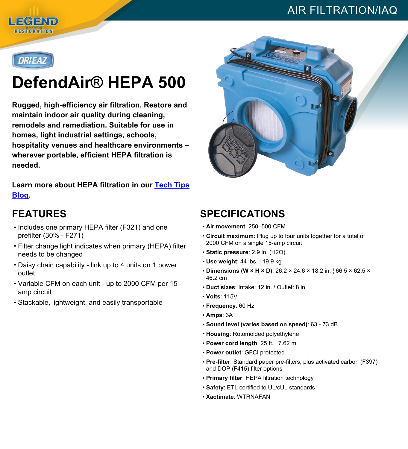## AIR FILTRATION/IAQ





# **DefendAir® HEPA 500**

**Rugged, high-efficiency air filtration. Restore and maintain indoor air quality during cleaning, remodels and remediation. Suitable for use in homes, light industrial settings, schools, hospitality venues and healthcare environments – wherever portable, efficient HEPA filtration is needed.**

**Learn more about HEPA filtration in our [Tech](https://www.legendbrandsrestoration.com/Tech-Tips-and-News?s=hepaproductpage) Tips [Blog.](https://www.legendbrandsrestoration.com/Tech-Tips-and-News?s=hepaproductpage)**

#### **FEATURES**

- Includes one primary HEPA filter (F321) and one prefilter (30% - F271)
- Filter change light indicates when primary (HEPA) filter needs to be changed
- Daisy chain capability link up to 4 units on 1 power outlet
- Variable CFM on each unit up to 2000 CFM per 15 amp circuit
- Stackable, lightweight, and easily transportable



### **SPECIFICATIONS**

- **Air movement**: 250–500 CFM
- **Circuit maximum**: Plug up to four units together for a total of 2000 CFM on a single 15-amp circuit
- **Static pressure**: 2.9 in. (H2O)
- **Use weight**: 44 lbs. | 19.9 kg
- **Dimensions (W × H × D)**: 26.2 × 24.6 × 18.2 in. ¦ 66.5 × 62.5 × 46.2 cm
- **Duct sizes**: Intake: 12 in. / Outlet: 8 in.
- **Volts**: 115V
- **Frequency**: 60 Hz
- **Amps**: 3A
- **Sound level (varies based on speed)**: 63 73 dB
- **Housing**: Rotomolded polyethylene
- **Power cord length**: 25 ft. | 7.62 m
- **Power outlet**: GFCI protected
- **Pre-filter**: Standard paper pre-filters, plus activated carbon (F397) and DOP (F415) filter options
- **Primary filter**: HEPA filtration technology
- **Safety**: ETL certified to UL/cUL standards
- **Xactimate**: WTRNAFAN